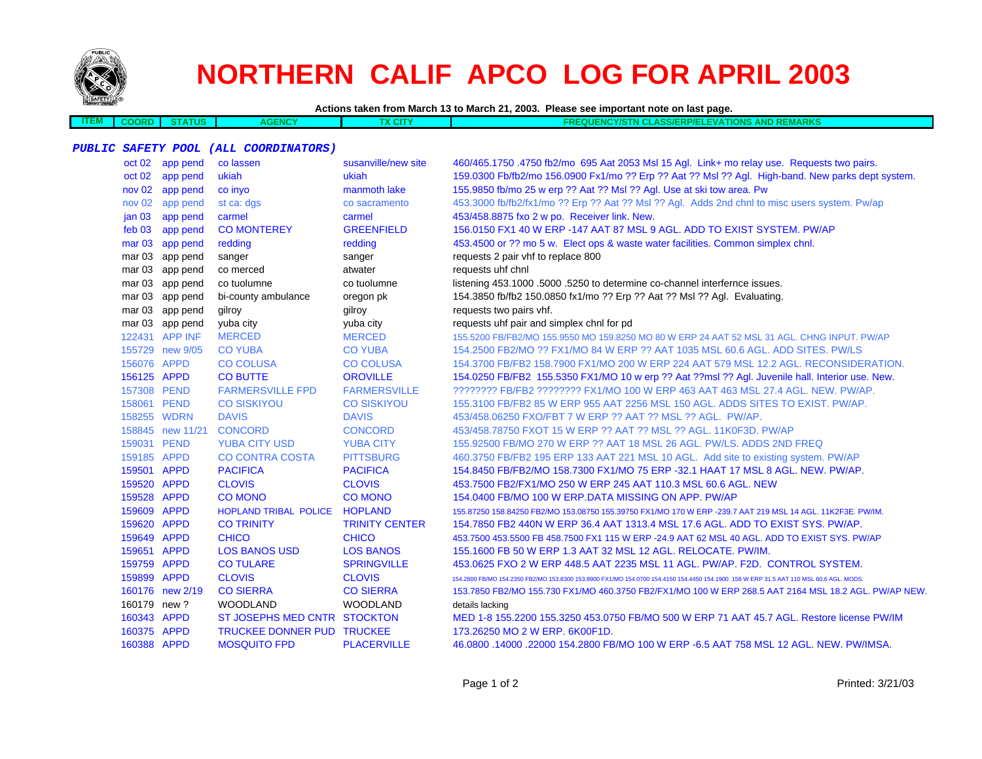

**ITEM**

# **NORTHERN CALIF APCO LOG FOR APRIL 2003**

**Actions taken from March 13 to March 21, 2003. Please see important note on last page.**

 **COORD STATUSAGENCY TX CITY FREQUENCY/STN CLASS/ERP/ELEVATIONS AND REMARKS**

### **PUBLIC SAFETY POOL (ALL COORDINATORS)**

|             | oct 02 app pend  | co lassen                    | susanville/new site   | 460/465.1750 .4750 fb2/mo 695 Aat 2053 Msl 15 Agl. Link+ mo relay use. Requests two pairs.                                             |
|-------------|------------------|------------------------------|-----------------------|----------------------------------------------------------------------------------------------------------------------------------------|
|             | oct 02 app pend  | ukiah                        | ukiah                 | 159.0300 Fb/fb2/mo 156.0900 Fx1/mo ?? Erp ?? Aat ?? Msl ?? Agl. High-band. New parks dept system.                                      |
|             | nov 02 app pend  | co invo                      | manmoth lake          | 155.9850 fb/mo 25 w erp ?? Aat ?? Msl ?? Agl. Use at ski tow area. Pw                                                                  |
|             | nov 02 app pend  | st ca: dgs                   | co sacramento         | 453.3000 fb/fb2/fx1/mo ?? Erp ?? Aat ?? Msl ?? Agl. Adds 2nd chnl to misc users system. Pw/ap                                          |
|             | jan 03 app pend  | carmel                       | carmel                | 453/458.8875 fxo 2 w po. Receiver link. New.                                                                                           |
|             | feb 03 app pend  | <b>CO MONTEREY</b>           | <b>GREENFIELD</b>     | 156.0150 FX1 40 W ERP -147 AAT 87 MSL 9 AGL. ADD TO EXIST SYSTEM. PW/AP                                                                |
|             | mar 03 app pend  | redding                      | redding               | 453.4500 or ?? mo 5 w. Elect ops & waste water facilities. Common simplex chnl.                                                        |
|             | mar 03 app pend  | sanger                       | sanger                | requests 2 pair vhf to replace 800                                                                                                     |
|             | mar 03 app pend  | co merced                    | atwater               | requests uhf chnl                                                                                                                      |
|             | mar 03 app pend  | co tuolumne                  | co tuolumne           | listening 453.1000 .5000 .5250 to determine co-channel interfernce issues.                                                             |
|             | mar 03 app pend  | bi-county ambulance          | oregon pk             | 154.3850 fb/fb2 150.0850 fx1/mo ?? Erp ?? Aat ?? Msl ?? Agl. Evaluating.                                                               |
|             | mar 03 app pend  | gilroy                       | gilroy                | requests two pairs vhf.                                                                                                                |
|             | mar 03 app pend  | yuba city                    | yuba city             | requests uhf pair and simplex chnl for pd                                                                                              |
|             | 122431 APP INF   | <b>MERCED</b>                | <b>MERCED</b>         | 155.5200 FB/FB2/MO 155.9550 MO 159.8250 MO 80 W ERP 24 AAT 52 MSL 31 AGL. CHNG INPUT. PW/AP                                            |
|             | 155729 new 9/05  | <b>CO YUBA</b>               | <b>CO YUBA</b>        | 154.2500 FB2/MO ?? FX1/MO 84 W ERP ?? AAT 1035 MSL 60.6 AGL. ADD SITES. PW/LS                                                          |
| 156076 APPD |                  | <b>CO COLUSA</b>             | <b>CO COLUSA</b>      | 154,3700 FB/FB2 158,7900 FX1/MO 200 W ERP 224 AAT 579 MSL 12.2 AGL, RECONSIDERATION.                                                   |
| 156125 APPD |                  | <b>CO BUTTE</b>              | <b>OROVILLE</b>       | 154.0250 FB/FB2 155.5350 FX1/MO 10 w erp ?? Aat ??msl ?? Agl. Juvenile hall. Interior use. New.                                        |
| 157308 PEND |                  | <b>FARMERSVILLE FPD</b>      | <b>FARMERSVILLE</b>   | ???????? FB/FB2 ???????? FX1/MO 100 W ERP 463 AAT 463 MSL 27.4 AGL. NEW. PW/AP.                                                        |
| 158061 PEND |                  | <b>CO SISKIYOU</b>           | <b>CO SISKIYOU</b>    | 155.3100 FB/FB2 85 W ERP 955 AAT 2256 MSL 150 AGL. ADDS SITES TO EXIST. PW/AP.                                                         |
|             | 158255 WDRN      | <b>DAVIS</b>                 | <b>DAVIS</b>          | 453/458.06250 FXO/FBT 7 W ERP ?? AAT ?? MSL ?? AGL. PW/AP.                                                                             |
|             | 158845 new 11/21 | <b>CONCORD</b>               | <b>CONCORD</b>        | 453/458.78750 FXOT 15 W ERP ?? AAT ?? MSL ?? AGL. 11K0F3D. PW/AP                                                                       |
| 159031 PEND |                  | <b>YUBA CITY USD</b>         | <b>YUBA CITY</b>      | 155.92500 FB/MO 270 W ERP ?? AAT 18 MSL 26 AGL. PW/LS. ADDS 2ND FREQ                                                                   |
| 159185 APPD |                  | <b>CO CONTRA COSTA</b>       | <b>PITTSBURG</b>      | 460.3750 FB/FB2 195 ERP 133 AAT 221 MSL 10 AGL. Add site to existing system. PW/AP                                                     |
| 159501 APPD |                  | <b>PACIFICA</b>              | <b>PACIFICA</b>       | 154,8450 FB/FB2/MO 158,7300 FX1/MO 75 ERP -32.1 HAAT 17 MSL 8 AGL, NEW, PW/AP,                                                         |
| 159520 APPD |                  | <b>CLOVIS</b>                | <b>CLOVIS</b>         | 453.7500 FB2/FX1/MO 250 W ERP 245 AAT 110.3 MSL 60.6 AGL. NEW                                                                          |
| 159528 APPD |                  | <b>CO MONO</b>               | <b>CO MONO</b>        | 154.0400 FB/MO 100 W ERP.DATA MISSING ON APP. PW/AP                                                                                    |
| 159609 APPD |                  | <b>HOPLAND TRIBAL POLICE</b> | <b>HOPLAND</b>        | 155.87250 158.84250 FB2/MO 153.08750 155.39750 FX1/MO 170 W ERP -239.7 AAT 219 MSL 14 AGL. 11K2F3E. PW/IM.                             |
| 159620 APPD |                  | <b>CO TRINITY</b>            | <b>TRINITY CENTER</b> | 154.7850 FB2 440N W ERP 36.4 AAT 1313.4 MSL 17.6 AGL. ADD TO EXIST SYS. PW/AP.                                                         |
| 159649 APPD |                  | <b>CHICO</b>                 | <b>CHICO</b>          | 453.7500 453.5500 FB 458.7500 FX1 115 W ERP -24.9 AAT 62 MSL 40 AGL. ADD TO EXIST SYS. PW/AP                                           |
| 159651 APPD |                  | <b>LOS BANOS USD</b>         | <b>LOS BANOS</b>      | 155.1600 FB 50 W ERP 1.3 AAT 32 MSL 12 AGL. RELOCATE. PW/IM.                                                                           |
| 159759 APPD |                  | <b>CO TULARE</b>             | <b>SPRINGVILLE</b>    | 453.0625 FXO 2 W ERP 448.5 AAT 2235 MSL 11 AGL, PW/AP, F2D, CONTROL SYSTEM.                                                            |
| 159899 APPD |                  | <b>CLOVIS</b>                | <b>CLOVIS</b>         | 154.2800 FB/MO 154.2350 FB2/MO 153.8300 153.8900 FX1/MO 154.0700 154.4150 154.4450 154.1900 158 W ERP 31.5 AAT 110 MSL 60.6 AGL. MODS. |
|             | 160176 new 2/19  | <b>CO SIERRA</b>             | <b>CO SIERRA</b>      | 153.7850 FB2/MO 155.730 FX1/MO 460.3750 FB2/FX1/MO 100 W ERP 268.5 AAT 2164 MSL 18.2 AGL. PW/AP NEW.                                   |
| 160179 new? |                  | <b>WOODLAND</b>              | <b>WOODLAND</b>       | details lacking                                                                                                                        |
| 160343 APPD |                  | ST JOSEPHS MED CNTR STOCKTON |                       | MED 1-8 155.2200 155.3250 453.0750 FB/MO 500 W ERP 71 AAT 45.7 AGL. Restore license PW/IM                                              |
| 160375 APPD |                  | TRUCKEE DONNER PUD TRUCKEE   |                       | 173.26250 MO 2 W ERP. 6K00F1D.                                                                                                         |
| 160388 APPD |                  | <b>MOSQUITO FPD</b>          | <b>PLACERVILLE</b>    | 46.0800 .14000 .22000 154.2800 FB/MO 100 W ERP -6.5 AAT 758 MSL 12 AGL. NEW. PW/IMSA.                                                  |